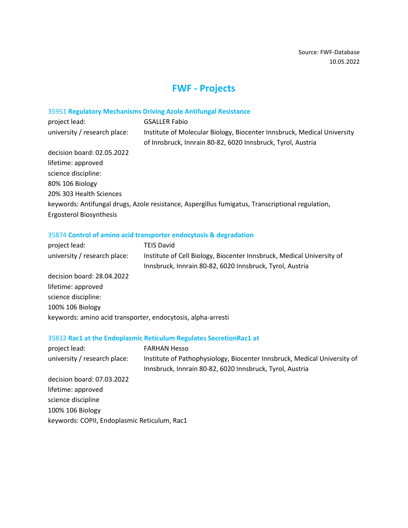# **FWF - Projects**

# 35951 **Regulatory Mechanisms Driving Azole Antifungal Resistance**

| project lead:                | <b>GSALLER Fabio</b>                                                                                                                   |
|------------------------------|----------------------------------------------------------------------------------------------------------------------------------------|
| university / research place: | Institute of Molecular Biology, Biocenter Innsbruck, Medical University<br>of Innsbruck, Innrain 80-82, 6020 Innsbruck, Tyrol, Austria |
| decision board: 02.05.2022   |                                                                                                                                        |
| lifetime: approved           |                                                                                                                                        |
| science discipline:          |                                                                                                                                        |
| 80% 106 Biology              |                                                                                                                                        |
| 20% 303 Health Sciences      |                                                                                                                                        |
|                              | keywords: Antifungal drugs, Azole resistance, Aspergillus fumigatus, Transcriptional regulation,                                       |
| Ergosterol Biosynthesis      |                                                                                                                                        |

# 35874 **Control of amino acid transporter endocytosis & degradation**

| project lead:                | <b>TEIS David</b>                                                     |
|------------------------------|-----------------------------------------------------------------------|
| university / research place: | Institute of Cell Biology, Biocenter Innsbruck, Medical University of |
|                              | Innsbruck, Innrain 80-82, 6020 Innsbruck, Tyrol, Austria              |
| decision board: 28.04.2022   |                                                                       |
| lifetime: approved           |                                                                       |
| science discipline:          |                                                                       |
| 100% 106 Biology             |                                                                       |
|                              | keywords: amino acid transporter, endocytosis, alpha-arresti          |

# 35832 **Rac1 at the Endoplasmic Reticulum Regulates SecretionRac1 at**

| project lead:                                | <b>FARHAN Hesso</b>                                                      |
|----------------------------------------------|--------------------------------------------------------------------------|
| university / research place:                 | Institute of Pathophysiology, Biocenter Innsbruck, Medical University of |
|                                              | Innsbruck, Innrain 80-82, 6020 Innsbruck, Tyrol, Austria                 |
| decision board: 07.03.2022                   |                                                                          |
| lifetime: approved                           |                                                                          |
| science discipline                           |                                                                          |
| 100% 106 Biology                             |                                                                          |
| keywords: COPII, Endoplasmic Reticulum, Rac1 |                                                                          |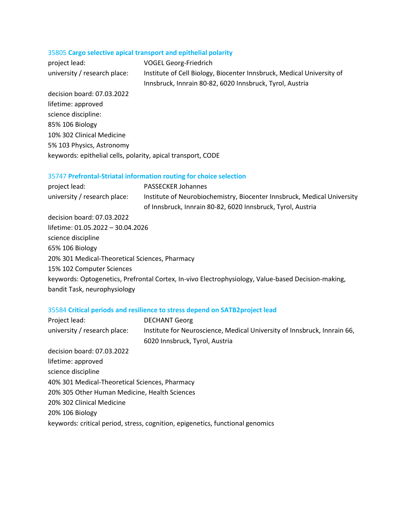# 35805 **Cargo selective apical transport and epithelial polarity**

| project lead:                | VOGEL Georg-Friedrich                                                 |
|------------------------------|-----------------------------------------------------------------------|
| university / research place: | Institute of Cell Biology, Biocenter Innsbruck, Medical University of |
|                              | Innsbruck, Innrain 80-82, 6020 Innsbruck, Tyrol, Austria              |

decision board: 07.03.2022 lifetime: approved science discipline: 85% 106 Biology 10% 302 Clinical Medicine 5% 103 Physics, Astronomy keywords: epithelial cells, polarity, apical transport, CODE

## 35747 **Prefrontal-Striatal information routing for choice selection**

| project lead:                                  | <b>PASSECKER Johannes</b>                                                                          |
|------------------------------------------------|----------------------------------------------------------------------------------------------------|
| university / research place:                   | Institute of Neurobiochemistry, Biocenter Innsbruck, Medical University                            |
|                                                | of Innsbruck, Innrain 80-82, 6020 Innsbruck, Tyrol, Austria                                        |
| decision board: 07.03.2022                     |                                                                                                    |
| lifetime: 01.05.2022 - 30.04.2026              |                                                                                                    |
| science discipline                             |                                                                                                    |
| 65% 106 Biology                                |                                                                                                    |
| 20% 301 Medical-Theoretical Sciences, Pharmacy |                                                                                                    |
| 15% 102 Computer Sciences                      |                                                                                                    |
|                                                | keywords: Optogenetics, Prefrontal Cortex, In-vivo Electrophysiology, Value-based Decision-making, |
| bandit Task, neurophysiology                   |                                                                                                    |

## 35584 **Critical periods and resilience to stress depend on SATB2project lead**

| Project lead:                                  | <b>DECHANT Georg</b>                                                           |
|------------------------------------------------|--------------------------------------------------------------------------------|
| university / research place:                   | Institute for Neuroscience, Medical University of Innsbruck, Innrain 66,       |
|                                                | 6020 Innsbruck, Tyrol, Austria                                                 |
| decision board: 07.03.2022                     |                                                                                |
| lifetime: approved                             |                                                                                |
| science discipline                             |                                                                                |
| 40% 301 Medical-Theoretical Sciences, Pharmacy |                                                                                |
| 20% 305 Other Human Medicine, Health Sciences  |                                                                                |
| 20% 302 Clinical Medicine                      |                                                                                |
| 20% 106 Biology                                |                                                                                |
|                                                | keywords: critical period, stress, cognition, epigenetics, functional genomics |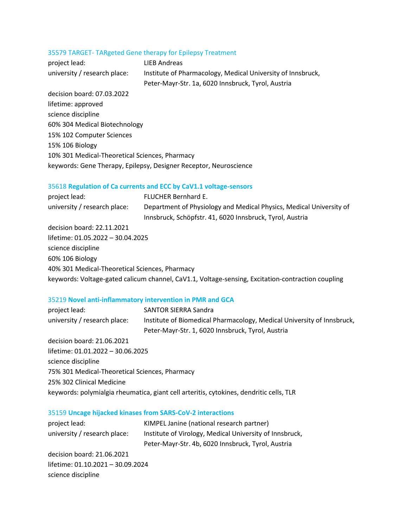#### 35579 TARGET- TARgeted Gene therapy for Epilepsy Treatment

project lead: LIEB Andreas university / research place: Institute of Pharmacology, Medical University of Innsbruck, Peter-Mayr-Str. 1a, 6020 Innsbruck, Tyrol, Austria decision board: 07.03.2022 lifetime: approved

science discipline 60% 304 Medical Biotechnology 15% 102 Computer Sciences 15% 106 Biology 10% 301 Medical-Theoretical Sciences, Pharmacy keywords: Gene Therapy, Epilepsy, Designer Receptor, Neuroscience

## 35618 **Regulation of Ca currents and ECC by CaV1.1 voltage-sensors**

| project lead:                | FLUCHER Bernhard E.                                                 |
|------------------------------|---------------------------------------------------------------------|
| university / research place: | Department of Physiology and Medical Physics, Medical University of |
|                              | Innsbruck, Schöpfstr. 41, 6020 Innsbruck, Tyrol, Austria            |

decision board: 22.11.2021 lifetime: 01.05.2022 – 30.04.2025 science discipline 60% 106 Biology 40% 301 Medical-Theoretical Sciences, Pharmacy keywords: Voltage-gated calicum channel, CaV1.1, Voltage-sensing, Excitation-contraction coupling

#### 35219 **Novel anti-inflammatory intervention in PMR and GCA**

| project lead:                                  | <b>SANTOR SIERRA Sandra</b>                                                             |
|------------------------------------------------|-----------------------------------------------------------------------------------------|
| university / research place:                   | Institute of Biomedical Pharmacology, Medical University of Innsbruck,                  |
|                                                | Peter-Mayr-Str. 1, 6020 Innsbruck, Tyrol, Austria                                       |
| decision board: 21.06.2021                     |                                                                                         |
| lifetime: 01.01.2022 - 30.06.2025              |                                                                                         |
| science discipline                             |                                                                                         |
| 75% 301 Medical-Theoretical Sciences, Pharmacy |                                                                                         |
| 25% 302 Clinical Medicine                      |                                                                                         |
|                                                | keywords: polymialgia rheumatica, giant cell arteritis, cytokines, dendritic cells, TLR |

#### 35159 **Uncage hijacked kinases from SARS-CoV-2 interactions**

| KIMPEL Janine (national research partner)               |
|---------------------------------------------------------|
| Institute of Virology, Medical University of Innsbruck, |
| Peter-Mayr-Str. 4b, 6020 Innsbruck, Tyrol, Austria      |
|                                                         |
| lifetime: 01.10.2021 - 30.09.2024                       |
|                                                         |
|                                                         |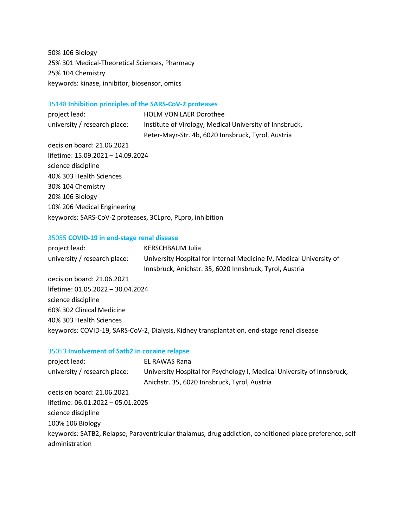50% 106 Biology 25% 301 Medical-Theoretical Sciences, Pharmacy 25% 104 Chemistry keywords: kinase, inhibitor, biosensor, omics

## 35148 **Inhibition principles of the SARS-CoV-2 proteases**

project lead: HOLM VON LAER Dorothee university / research place: Institute of Virology, Medical University of Innsbruck, Peter-Mayr-Str. 4b, 6020 Innsbruck, Tyrol, Austria decision board: 21.06.2021 lifetime: 15.09.2021 – 14.09.2024 science discipline 40% 303 Health Sciences 30% 104 Chemistry 20% 106 Biology 10% 206 Medical Engineering keywords: SARS-CoV-2 proteases, 3CLpro, PLpro, inhibition

## 35055 **COVID-19 in end-stage renal disease**

| project lead:                     | <b>KERSCHBAUM Julia</b>                                                                   |
|-----------------------------------|-------------------------------------------------------------------------------------------|
| university / research place:      | University Hospital for Internal Medicine IV, Medical University of                       |
|                                   | Innsbruck, Anichstr. 35, 6020 Innsbruck, Tyrol, Austria                                   |
| decision board: 21.06.2021        |                                                                                           |
| lifetime: 01.05.2022 - 30.04.2024 |                                                                                           |
| science discipline                |                                                                                           |
| 60% 302 Clinical Medicine         |                                                                                           |
| 40% 303 Health Sciences           |                                                                                           |
|                                   | keywords: COVID-19, SARS-CoV-2, Dialysis, Kidney transplantation, end-stage renal disease |

## 35053 **Involvement of Satb2 in cocaine relapse**

| project lead:                     | EL RAWAS Rana                                                                                                          |
|-----------------------------------|------------------------------------------------------------------------------------------------------------------------|
| university / research place:      | University Hospital for Psychology I, Medical University of Innsbruck,<br>Anichstr. 35, 6020 Innsbruck, Tyrol, Austria |
| decision board: 21.06.2021        |                                                                                                                        |
| lifetime: 06.01.2022 - 05.01.2025 |                                                                                                                        |
| science discipline                |                                                                                                                        |
| 100% 106 Biology                  |                                                                                                                        |
|                                   | keywords: SATB2, Relapse, Paraventricular thalamus, drug addiction, conditioned place preference, self-                |
| administration                    |                                                                                                                        |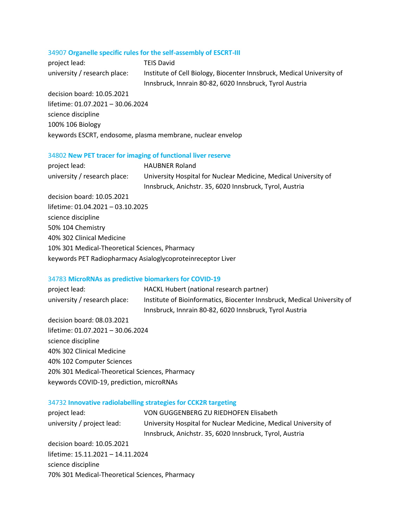## 34907 **Organelle specific rules for the self-assembly of ESCRT-III**

| project lead:                | TEIS David                                                            |
|------------------------------|-----------------------------------------------------------------------|
| university / research place: | Institute of Cell Biology, Biocenter Innsbruck, Medical University of |
|                              | Innsbruck, Innrain 80-82, 6020 Innsbruck, Tyrol Austria               |

decision board: 10.05.2021 lifetime: 01.07.2021 – 30.06.2024 science discipline 100% 106 Biology keywords ESCRT, endosome, plasma membrane, nuclear envelop

## 34802 **New PET tracer for imaging of functional liver reserve**

| project lead:                                  | <b>HAUBNER Roland</b>                                           |
|------------------------------------------------|-----------------------------------------------------------------|
| university / research place:                   | University Hospital for Nuclear Medicine, Medical University of |
|                                                | Innsbruck, Anichstr. 35, 6020 Innsbruck, Tyrol, Austria         |
| decision board: 10.05.2021                     |                                                                 |
| lifetime: 01.04.2021 - 03.10.2025              |                                                                 |
| science discipline                             |                                                                 |
| 50% 104 Chemistry                              |                                                                 |
| 40% 302 Clinical Medicine                      |                                                                 |
| 10% 301 Medical-Theoretical Sciences, Pharmacy |                                                                 |
|                                                | keywords PET Radiopharmacy Asialoglycoproteinreceptor Liver     |

## 34783 **MicroRNAs as predictive biomarkers for COVID-19**

| project lead:                | HACKL Hubert (national research partner)                                |
|------------------------------|-------------------------------------------------------------------------|
| university / research place: | Institute of Bioinformatics, Biocenter Innsbruck, Medical University of |
|                              | Innsbruck, Innrain 80-82, 6020 Innsbruck, Tyrol Austria                 |
| decision board: 08.03.2021   |                                                                         |
|                              |                                                                         |

lifetime: 01.07.2021 – 30.06.2024 science discipline 40% 302 Clinical Medicine 40% 102 Computer Sciences 20% 301 Medical-Theoretical Sciences, Pharmacy keywords COVID-19, prediction, microRNAs

## 34732 **Innovative radiolabelling strategies for CCK2R targeting**

| project lead:                                  | VON GUGGENBERG ZU RIEDHOFEN Elisabeth                           |
|------------------------------------------------|-----------------------------------------------------------------|
| university / project lead:                     | University Hospital for Nuclear Medicine, Medical University of |
|                                                | Innsbruck, Anichstr. 35, 6020 Innsbruck, Tyrol, Austria         |
| decision board: 10.05.2021                     |                                                                 |
| lifetime: 15.11.2021 - 14.11.2024              |                                                                 |
| science discipline                             |                                                                 |
| 70% 301 Medical-Theoretical Sciences, Pharmacy |                                                                 |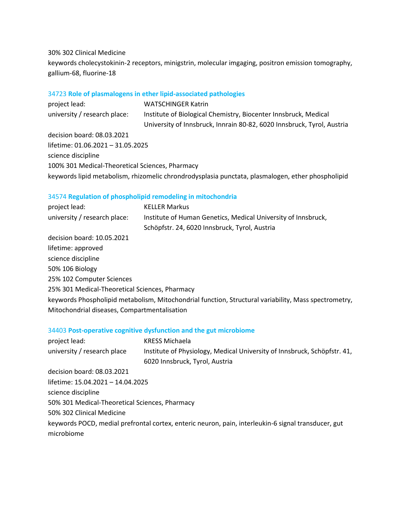## 30% 302 Clinical Medicine

keywords cholecystokinin-2 receptors, minigstrin, molecular imgaging, positron emission tomography, gallium-68, fluorine-18

# 34723 **Role of plasmalogens in ether lipid-associated pathologies**

| project lead:                                   | <b>WATSCHINGER Katrin</b>                                                                         |
|-------------------------------------------------|---------------------------------------------------------------------------------------------------|
| university / research place:                    | Institute of Biological Chemistry, Biocenter Innsbruck, Medical                                   |
|                                                 | University of Innsbruck, Innrain 80-82, 6020 Innsbruck, Tyrol, Austria                            |
| decision board: 08.03.2021                      |                                                                                                   |
| lifetime: 01.06.2021 - 31.05.2025               |                                                                                                   |
| science discipline                              |                                                                                                   |
| 100% 301 Medical-Theoretical Sciences, Pharmacy |                                                                                                   |
|                                                 | keywords lipid metabolism, rhizomelic chrondrodysplasia punctata, plasmalogen, ether phospholipid |

# 34574 **Regulation of phospholipid remodeling in mitochondria**

| project lead:                                  | <b>KELLER Markus</b>                                                                                 |
|------------------------------------------------|------------------------------------------------------------------------------------------------------|
| university / research place:                   | Institute of Human Genetics, Medical University of Innsbruck,                                        |
|                                                | Schöpfstr. 24, 6020 Innsbruck, Tyrol, Austria                                                        |
| decision board: 10.05.2021                     |                                                                                                      |
| lifetime: approved                             |                                                                                                      |
| science discipline                             |                                                                                                      |
| 50% 106 Biology                                |                                                                                                      |
| 25% 102 Computer Sciences                      |                                                                                                      |
| 25% 301 Medical-Theoretical Sciences, Pharmacy |                                                                                                      |
|                                                | keywords Phospholipid metabolism, Mitochondrial function, Structural variability, Mass spectrometry, |
| Mitochondrial diseases, Compartmentalisation   |                                                                                                      |

# 34403 **Post-operative cognitive dysfunction and the gut microbiome**

| project lead:                                  | <b>KRESS Michaela</b>                                                                               |
|------------------------------------------------|-----------------------------------------------------------------------------------------------------|
| university / research place                    | Institute of Physiology, Medical University of Innsbruck, Schöpfstr. 41,                            |
|                                                | 6020 Innsbruck, Tyrol, Austria                                                                      |
| decision board: 08.03.2021                     |                                                                                                     |
| lifetime: 15.04.2021 - 14.04.2025              |                                                                                                     |
| science discipline                             |                                                                                                     |
| 50% 301 Medical-Theoretical Sciences, Pharmacy |                                                                                                     |
| 50% 302 Clinical Medicine                      |                                                                                                     |
|                                                | keywords POCD, medial prefrontal cortex, enteric neuron, pain, interleukin-6 signal transducer, gut |
| microbiome                                     |                                                                                                     |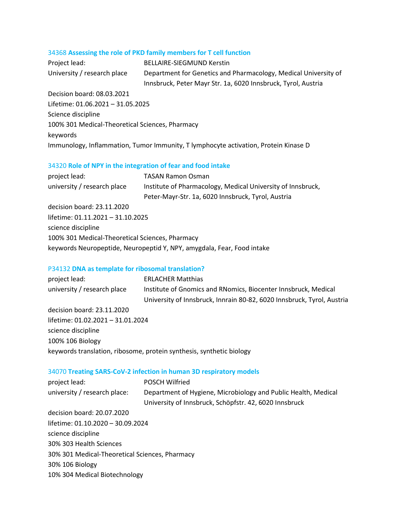## 34368 **Assessing the role of PKD family members for T cell function**

| Project lead:               | <b>BELLAIRE-SIEGMUND Kerstin</b>                                |
|-----------------------------|-----------------------------------------------------------------|
| University / research place | Department for Genetics and Pharmacology, Medical University of |
|                             | Innsbruck, Peter Mayr Str. 1a, 6020 Innsbruck, Tyrol, Austria   |
| Decision board: 08.03.2021  |                                                                 |

Lifetime: 01.06.2021 – 31.05.2025 Science discipline 100% 301 Medical-Theoretical Sciences, Pharmacy keywords Immunology, Inflammation, Tumor Immunity, T lymphocyte activation, Protein Kinase D

## 34320 **Role of NPY in the integration of fear and food intake**

| <b>TASAN Ramon Osman</b>                                               |
|------------------------------------------------------------------------|
| Institute of Pharmacology, Medical University of Innsbruck,            |
| Peter-Mayr-Str. 1a, 6020 Innsbruck, Tyrol, Austria                     |
|                                                                        |
| lifetime: 01.11.2021 - 31.10.2025                                      |
|                                                                        |
| 100% 301 Medical-Theoretical Sciences, Pharmacy                        |
| keywords Neuropeptide, Neuropeptid Y, NPY, amygdala, Fear, Food intake |
|                                                                        |

## P34132 **DNA as template for ribosomal translation?**

| project lead:                     | <b>ERLACHER Matthias</b>                                               |
|-----------------------------------|------------------------------------------------------------------------|
| university / research place       | Institute of Gnomics and RNomics, Biocenter Innsbruck, Medical         |
|                                   | University of Innsbruck, Innrain 80-82, 6020 Innsbruck, Tyrol, Austria |
| decision board: 23.11.2020        |                                                                        |
| lifetime: 01.02.2021 - 31.01.2024 |                                                                        |
| science discipline                |                                                                        |
| 100% 106 Biology                  |                                                                        |
|                                   | keywords translation, ribosome, protein synthesis, synthetic biology   |
|                                   |                                                                        |

## 34070 **Treating SARS-CoV-2 infection in human 3D respiratory models**

| project lead:                                  | <b>POSCH Wilfried</b>                                          |
|------------------------------------------------|----------------------------------------------------------------|
| university / research place:                   | Department of Hygiene, Microbiology and Public Health, Medical |
|                                                | University of Innsbruck, Schöpfstr. 42, 6020 Innsbruck         |
| decision board: 20.07.2020                     |                                                                |
| lifetime: 01.10.2020 - 30.09.2024              |                                                                |
| science discipline                             |                                                                |
| 30% 303 Health Sciences                        |                                                                |
| 30% 301 Medical-Theoretical Sciences, Pharmacy |                                                                |
| 30% 106 Biology                                |                                                                |
| 10% 304 Medical Biotechnology                  |                                                                |
|                                                |                                                                |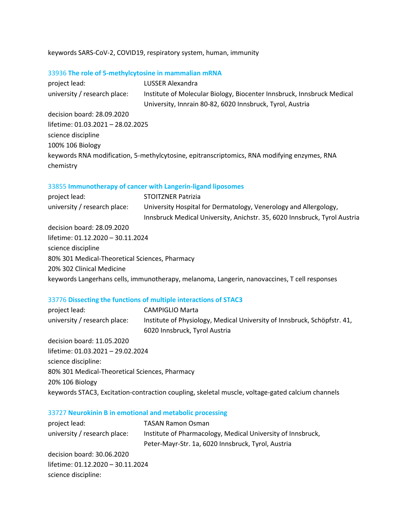# keywords SARS-CoV-2, COVID19, respiratory system, human, immunity

## 33936 **The role of 5-methylcytosine in mammalian mRNA**

| project lead:                     | LUSSER Alexandra                                                                            |
|-----------------------------------|---------------------------------------------------------------------------------------------|
| university / research place:      | Institute of Molecular Biology, Biocenter Innsbruck, Innsbruck Medical                      |
|                                   | University, Innrain 80-82, 6020 Innsbruck, Tyrol, Austria                                   |
| decision board: 28.09.2020        |                                                                                             |
| lifetime: 01.03.2021 - 28.02.2025 |                                                                                             |
| science discipline                |                                                                                             |
| 100% 106 Biology                  |                                                                                             |
|                                   | keywords RNA modification, 5-methylcytosine, epitranscriptomics, RNA modifying enzymes, RNA |
| chemistry                         |                                                                                             |

## 33855 **Immunotherapy of cancer with Langerin-ligand liposomes**

| project lead:                                  | <b>STOITZNER Patrizia</b>                                                                    |
|------------------------------------------------|----------------------------------------------------------------------------------------------|
| university / research place:                   | University Hospital for Dermatology, Venerology and Allergology,                             |
|                                                | Innsbruck Medical University, Anichstr. 35, 6020 Innsbruck, Tyrol Austria                    |
| decision board: 28.09.2020                     |                                                                                              |
| lifetime: 01.12.2020 - 30.11.2024              |                                                                                              |
| science discipline                             |                                                                                              |
| 80% 301 Medical-Theoretical Sciences, Pharmacy |                                                                                              |
| 20% 302 Clinical Medicine                      |                                                                                              |
|                                                | keywords Langerhans cells, immunotherapy, melanoma, Langerin, nanovaccines, T cell responses |

# 33776 **Dissecting the functions of multiple interactions of STAC3**

| project lead:                                  | <b>CAMPIGLIO Marta</b>                                                                           |
|------------------------------------------------|--------------------------------------------------------------------------------------------------|
| university / research place:                   | Institute of Physiology, Medical University of Innsbruck, Schöpfstr. 41,                         |
|                                                | 6020 Innsbruck, Tyrol Austria                                                                    |
| decision board: 11.05.2020                     |                                                                                                  |
| lifetime: 01.03.2021 - 29.02.2024              |                                                                                                  |
| science discipline:                            |                                                                                                  |
| 80% 301 Medical-Theoretical Sciences, Pharmacy |                                                                                                  |
| 20% 106 Biology                                |                                                                                                  |
|                                                | keywords STAC3, Excitation-contraction coupling, skeletal muscle, voltage-gated calcium channels |

# 33727 **Neurokinin B in emotional and metabolic processing**

| <b>TASAN Ramon Osman</b>                                    |  |
|-------------------------------------------------------------|--|
| Institute of Pharmacology, Medical University of Innsbruck, |  |
| Peter-Mayr-Str. 1a, 6020 Innsbruck, Tyrol, Austria          |  |
|                                                             |  |
| lifetime: 01.12.2020 - 30.11.2024                           |  |
|                                                             |  |
|                                                             |  |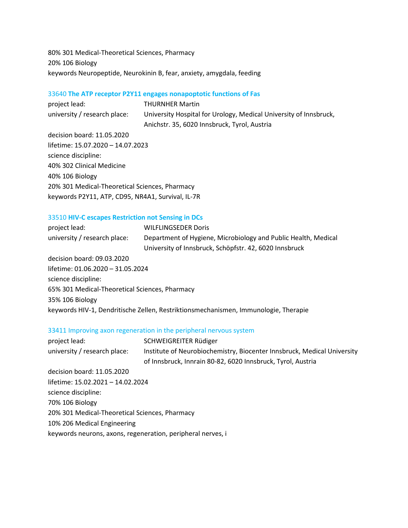80% 301 Medical-Theoretical Sciences, Pharmacy 20% 106 Biology keywords Neuropeptide, Neurokinin B, fear, anxiety, amygdala, feeding

## 33640 **The ATP receptor P2Y11 engages nonapoptotic functions of Fas**

project lead: THURNHER Martin university / research place: University Hospital for Urology, Medical University of Innsbruck, Anichstr. 35, 6020 Innsbruck, Tyrol, Austria

decision board: 11.05.2020 lifetime: 15.07.2020 – 14.07.2023 science discipline: 40% 302 Clinical Medicine 40% 106 Biology 20% 301 Medical-Theoretical Sciences, Pharmacy keywords P2Y11, ATP, CD95, NR4A1, Survival, IL-7R

## 33510 **HIV-C escapes Restriction not Sensing in DCs**

| project lead:                                  | <b>WILFLINGSEDER Doris</b>                                                          |
|------------------------------------------------|-------------------------------------------------------------------------------------|
| university / research place:                   | Department of Hygiene, Microbiology and Public Health, Medical                      |
|                                                | University of Innsbruck, Schöpfstr. 42, 6020 Innsbruck                              |
| decision board: 09.03.2020                     |                                                                                     |
| lifetime: 01.06.2020 - 31.05.2024              |                                                                                     |
| science discipline:                            |                                                                                     |
| 65% 301 Medical-Theoretical Sciences, Pharmacy |                                                                                     |
| 35% 106 Biology                                |                                                                                     |
|                                                | keywords HIV-1, Dendritische Zellen, Restriktionsmechanismen, Immunologie, Therapie |

## 33411 Improving axon regeneration in the peripheral nervous system

| project lead:                                               | SCHWEIGREITER Rüdiger                                                   |
|-------------------------------------------------------------|-------------------------------------------------------------------------|
| university / research place:                                | Institute of Neurobiochemistry, Biocenter Innsbruck, Medical University |
|                                                             | of Innsbruck, Innrain 80-82, 6020 Innsbruck, Tyrol, Austria             |
| decision board: 11.05.2020                                  |                                                                         |
| lifetime: 15.02.2021 - 14.02.2024                           |                                                                         |
| science discipline:                                         |                                                                         |
| 70% 106 Biology                                             |                                                                         |
| 20% 301 Medical-Theoretical Sciences, Pharmacy              |                                                                         |
| 10% 206 Medical Engineering                                 |                                                                         |
| keywords neurons, axons, regeneration, peripheral nerves, i |                                                                         |
|                                                             |                                                                         |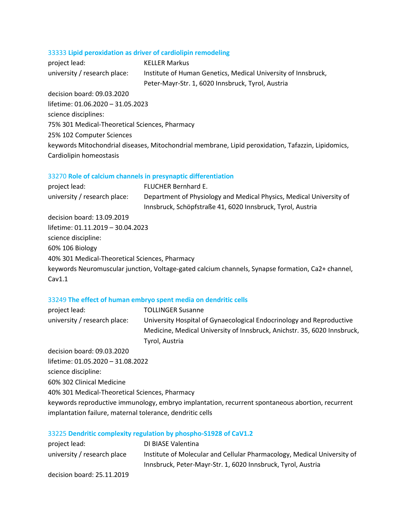# 33333 **Lipid peroxidation as driver of cardiolipin remodeling**

| project lead:                                  | <b>KELLER Markus</b>                                                                               |
|------------------------------------------------|----------------------------------------------------------------------------------------------------|
| university / research place:                   | Institute of Human Genetics, Medical University of Innsbruck,                                      |
|                                                | Peter-Mayr-Str. 1, 6020 Innsbruck, Tyrol, Austria                                                  |
| decision board: 09.03.2020                     |                                                                                                    |
| lifetime: 01.06.2020 - 31.05.2023              |                                                                                                    |
| science disciplines:                           |                                                                                                    |
| 75% 301 Medical-Theoretical Sciences, Pharmacy |                                                                                                    |
| 25% 102 Computer Sciences                      |                                                                                                    |
|                                                | keywords Mitochondrial diseases, Mitochondrial membrane, Lipid peroxidation, Tafazzin, Lipidomics, |
| Cardiolipin homeostasis                        |                                                                                                    |

# 33270 **Role of calcium channels in presynaptic differentiation**

| project lead:                                  | FLUCHER Bernhard E.                                                                                                               |
|------------------------------------------------|-----------------------------------------------------------------------------------------------------------------------------------|
| university / research place:                   | Department of Physiology and Medical Physics, Medical University of<br>Innsbruck, Schöpfstraße 41, 6020 Innsbruck, Tyrol, Austria |
| decision board: 13.09.2019                     |                                                                                                                                   |
| lifetime: 01.11.2019 - 30.04.2023              |                                                                                                                                   |
| science discipline:                            |                                                                                                                                   |
| 60% 106 Biology                                |                                                                                                                                   |
| 40% 301 Medical-Theoretical Sciences, Pharmacy |                                                                                                                                   |
|                                                | keywords Neuromuscular junction, Voltage-gated calcium channels, Synapse formation, Ca2+ channel,                                 |
| Cav1.1                                         |                                                                                                                                   |

# 33249 **The effect of human embryo spent media on dendritic cells**

| project lead:                                             | <b>TOLLINGER Susanne</b>                                                                         |
|-----------------------------------------------------------|--------------------------------------------------------------------------------------------------|
| university / research place:                              | University Hospital of Gynaecological Endocrinology and Reproductive                             |
|                                                           | Medicine, Medical University of Innsbruck, Anichstr. 35, 6020 Innsbruck,                         |
|                                                           | Tyrol, Austria                                                                                   |
| decision board: 09.03.2020                                |                                                                                                  |
| lifetime: 01.05.2020 - 31.08.2022                         |                                                                                                  |
| science discipline:                                       |                                                                                                  |
| 60% 302 Clinical Medicine                                 |                                                                                                  |
| 40% 301 Medical-Theoretical Sciences, Pharmacy            |                                                                                                  |
|                                                           | keywords reproductive immunology, embryo implantation, recurrent spontaneous abortion, recurrent |
| implantation failure, maternal tolerance, dendritic cells |                                                                                                  |

# 33225 **Dendritic complexity regulation by phospho-S1928 of CaV1.2**

| project lead:               | DI BIASE Valentina                                                      |
|-----------------------------|-------------------------------------------------------------------------|
| university / research place | Institute of Molecular and Cellular Pharmacology, Medical University of |
|                             | Innsbruck, Peter-Mayr-Str. 1, 6020 Innsbruck, Tyrol, Austria            |
| decision board: 25.11.2019  |                                                                         |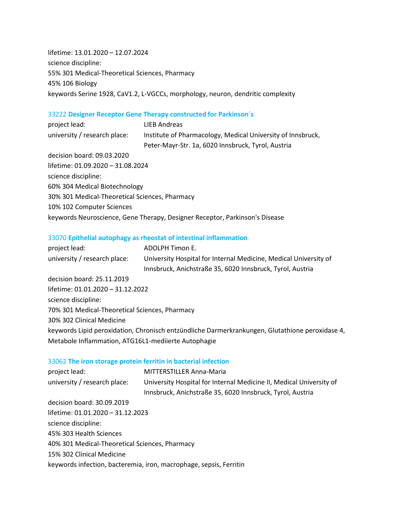lifetime: 13.01.2020 – 12.07.2024 science discipline: 55% 301 Medical-Theoretical Sciences, Pharmacy 45% 106 Biology keywords Serine 1928, CaV1.2, L-VGCCs, morphology, neuron, dendritic complexity

## 33222 **Designer Receptor Gene Therapy constructed for Parkinson´s**

| project lead:                                                               | LIEB Andreas                                                |  |
|-----------------------------------------------------------------------------|-------------------------------------------------------------|--|
| university / research place:                                                | Institute of Pharmacology, Medical University of Innsbruck, |  |
|                                                                             | Peter-Mayr-Str. 1a, 6020 Innsbruck, Tyrol, Austria          |  |
| decision board: 09.03.2020                                                  |                                                             |  |
| lifetime: 01.09.2020 - 31.08.2024                                           |                                                             |  |
| science discipline:                                                         |                                                             |  |
| 60% 304 Medical Biotechnology                                               |                                                             |  |
| 30% 301 Medical-Theoretical Sciences, Pharmacy                              |                                                             |  |
| 10% 102 Computer Sciences                                                   |                                                             |  |
| keywords Neuroscience, Gene Therapy, Designer Receptor, Parkinson's Disease |                                                             |  |

## 33070 **Epithelial autophagy as rheostat of intestinal inflammation**

| project lead:                                       | ADOLPH Timon E.                                                                                 |
|-----------------------------------------------------|-------------------------------------------------------------------------------------------------|
| university / research place:                        | University Hospital for Internal Medicine, Medical University of                                |
|                                                     | Innsbruck, Anichstraße 35, 6020 Innsbruck, Tyrol, Austria                                       |
| decision board: 25.11.2019                          |                                                                                                 |
| lifetime: 01.01.2020 - 31.12.2022                   |                                                                                                 |
| science discipline:                                 |                                                                                                 |
| 70% 301 Medical-Theoretical Sciences, Pharmacy      |                                                                                                 |
| 30% 302 Clinical Medicine                           |                                                                                                 |
|                                                     | keywords Lipid peroxidation, Chronisch entzündliche Darmerkrankungen, Glutathione peroxidase 4, |
| Metabole Inflammation, ATG16L1-mediierte Autophagie |                                                                                                 |

## 33062 **The iron storage protein ferritin in bacterial infection**

| project lead:                                  | <b>MITTERSTILLER Anna-Maria</b>                                     |  |
|------------------------------------------------|---------------------------------------------------------------------|--|
| university / research place:                   | University Hospital for Internal Medicine II, Medical University of |  |
|                                                | Innsbruck, Anichstraße 35, 6020 Innsbruck, Tyrol, Austria           |  |
| decision board: 30.09.2019                     |                                                                     |  |
| lifetime: 01.01.2020 - 31.12.2023              |                                                                     |  |
| science discipline:                            |                                                                     |  |
| 45% 303 Health Sciences                        |                                                                     |  |
| 40% 301 Medical-Theoretical Sciences, Pharmacy |                                                                     |  |
| 15% 302 Clinical Medicine                      |                                                                     |  |
|                                                | keywords infection, bacteremia, iron, macrophage, sepsis, Ferritin  |  |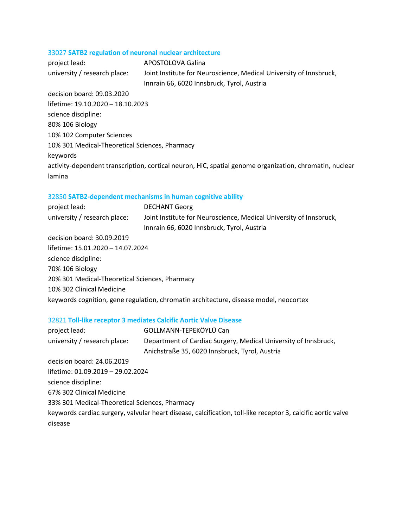## 33027 **SATB2 regulation of neuronal nuclear architecture**

project lead: APOSTOLOVA Galina university / research place: Joint Institute for Neuroscience, Medical University of Innsbruck, Innrain 66, 6020 Innsbruck, Tyrol, Austria decision board: 09.03.2020 lifetime: 19.10.2020 – 18.10.2023 science discipline: 80% 106 Biology 10% 102 Computer Sciences 10% 301 Medical-Theoretical Sciences, Pharmacy keywords activity-dependent transcription, cortical neuron, HiC, spatial genome organization, chromatin, nuclear lamina

## 32850 **SATB2-dependent mechanisms in human cognitive ability**

| <b>DECHANT Georg</b>                                                                  |
|---------------------------------------------------------------------------------------|
| Joint Institute for Neuroscience, Medical University of Innsbruck,                    |
| Innrain 66, 6020 Innsbruck, Tyrol, Austria                                            |
|                                                                                       |
| lifetime: 15.01.2020 - 14.07.2024                                                     |
|                                                                                       |
|                                                                                       |
| 20% 301 Medical-Theoretical Sciences, Pharmacy                                        |
|                                                                                       |
| keywords cognition, gene regulation, chromatin architecture, disease model, neocortex |
|                                                                                       |

#### 32821 **Toll-like receptor 3 mediates Calcific Aortic Valve Disease**

| project lead:                                  | GOLLMANN-TEPEKÖYLÜ Can                                                                                       |
|------------------------------------------------|--------------------------------------------------------------------------------------------------------------|
| university / research place:                   | Department of Cardiac Surgery, Medical University of Innsbruck,                                              |
|                                                | Anichstraße 35, 6020 Innsbruck, Tyrol, Austria                                                               |
| decision board: 24.06.2019                     |                                                                                                              |
| lifetime: 01.09.2019 - 29.02.2024              |                                                                                                              |
| science discipline:                            |                                                                                                              |
| 67% 302 Clinical Medicine                      |                                                                                                              |
| 33% 301 Medical-Theoretical Sciences, Pharmacy |                                                                                                              |
|                                                | keywords cardiac surgery, valvular heart disease, calcification, toll-like receptor 3, calcific aortic valve |
| disease                                        |                                                                                                              |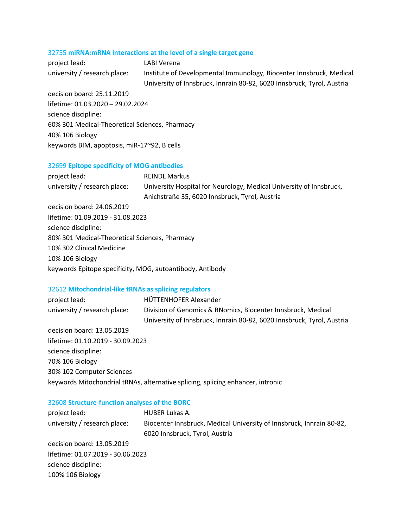# 32755 **miRNA:mRNA interactions at the level of a single target gene**

| project lead:                                  | LABI Verena                                                            |
|------------------------------------------------|------------------------------------------------------------------------|
| university / research place:                   | Institute of Developmental Immunology, Biocenter Innsbruck, Medical    |
|                                                | University of Innsbruck, Innrain 80-82, 6020 Innsbruck, Tyrol, Austria |
| decision board: 25.11.2019                     |                                                                        |
| lifetime: 01.03.2020 - 29.02.2024              |                                                                        |
| science discipline:                            |                                                                        |
| 60% 301 Medical-Theoretical Sciences, Pharmacy |                                                                        |
| 40% 106 Biology                                |                                                                        |

# keywords BIM, apoptosis, miR-17~92, B cells

# 32699 **Epitope specificity of MOG antibodies**

| project lead:                                             | <b>REINDL Markus</b>                                                |
|-----------------------------------------------------------|---------------------------------------------------------------------|
| university / research place:                              | University Hospital for Neurology, Medical University of Innsbruck, |
|                                                           | Anichstraße 35, 6020 Innsbruck, Tyrol, Austria                      |
| decision board: 24.06.2019                                |                                                                     |
| lifetime: 01.09.2019 - 31.08.2023                         |                                                                     |
| science discipline:                                       |                                                                     |
| 80% 301 Medical-Theoretical Sciences, Pharmacy            |                                                                     |
| 10% 302 Clinical Medicine                                 |                                                                     |
| 10% 106 Biology                                           |                                                                     |
| keywords Epitope specificity, MOG, autoantibody, Antibody |                                                                     |

# 32612 **Mitochondrial-like tRNAs as splicing regulators**

| project lead:                     | HÜTTENHOFER Alexander                                                           |
|-----------------------------------|---------------------------------------------------------------------------------|
| university / research place:      | Division of Genomics & RNomics, Biocenter Innsbruck, Medical                    |
|                                   | University of Innsbruck, Innrain 80-82, 6020 Innsbruck, Tyrol, Austria          |
| decision board: 13.05.2019        |                                                                                 |
| lifetime: 01.10.2019 - 30.09.2023 |                                                                                 |
| science discipline:               |                                                                                 |
| 70% 106 Biology                   |                                                                                 |
| 30% 102 Computer Sciences         |                                                                                 |
|                                   | keywords Mitochondrial tRNAs, alternative splicing, splicing enhancer, intronic |

# 32608 **Structure-function analyses of the BORC**

| HUBER Lukas A.                                                       |  |  |
|----------------------------------------------------------------------|--|--|
| Biocenter Innsbruck, Medical University of Innsbruck, Innrain 80-82, |  |  |
| 6020 Innsbruck, Tyrol, Austria                                       |  |  |
|                                                                      |  |  |
| lifetime: 01.07.2019 - 30.06.2023                                    |  |  |
|                                                                      |  |  |
|                                                                      |  |  |
|                                                                      |  |  |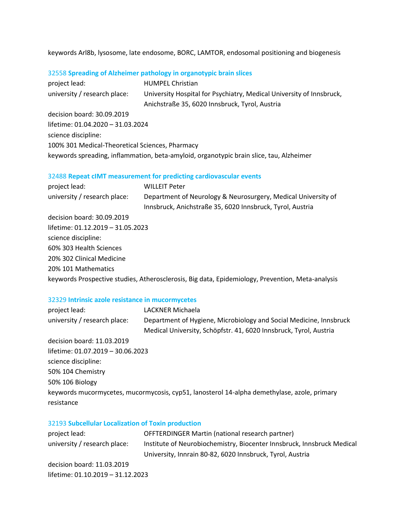keywords Arl8b, lysosome, late endosome, BORC, LAMTOR, endosomal positioning and biogenesis

# 32558 **Spreading of Alzheimer pathology in organotypic brain slices**

| project lead:                                                                           | <b>HUMPEL Christian</b>                                              |  |
|-----------------------------------------------------------------------------------------|----------------------------------------------------------------------|--|
| university / research place:                                                            | University Hospital for Psychiatry, Medical University of Innsbruck, |  |
|                                                                                         | Anichstraße 35, 6020 Innsbruck, Tyrol, Austria                       |  |
| decision board: 30.09.2019                                                              |                                                                      |  |
| lifetime: 01.04.2020 - 31.03.2024                                                       |                                                                      |  |
| science discipline:                                                                     |                                                                      |  |
| 100% 301 Medical-Theoretical Sciences, Pharmacy                                         |                                                                      |  |
| keywords spreading, inflammation, beta-amyloid, organotypic brain slice, tau, Alzheimer |                                                                      |  |

# 32488 **Repeat cIMT measurement for predicting cardiovascular events**

| project lead:                     | <b>WILLEIT Peter</b>                                                                                                       |
|-----------------------------------|----------------------------------------------------------------------------------------------------------------------------|
| university / research place:      | Department of Neurology & Neurosurgery, Medical University of<br>Innsbruck, Anichstraße 35, 6020 Innsbruck, Tyrol, Austria |
| decision board: 30.09.2019        |                                                                                                                            |
| lifetime: 01.12.2019 - 31.05.2023 |                                                                                                                            |
| science discipline:               |                                                                                                                            |
| 60% 303 Health Sciences           |                                                                                                                            |
| 20% 302 Clinical Medicine         |                                                                                                                            |
| 20% 101 Mathematics               |                                                                                                                            |
|                                   | keywords Prospective studies, Atherosclerosis, Big data, Epidemiology, Prevention, Meta-analysis                           |

# 32329 **Intrinsic azole resistance in mucormycetes**

| project lead:                     | LACKNER Michaela                                                                            |
|-----------------------------------|---------------------------------------------------------------------------------------------|
| university / research place:      | Department of Hygiene, Microbiology and Social Medicine, Innsbruck                          |
|                                   | Medical University, Schöpfstr. 41, 6020 Innsbruck, Tyrol, Austria                           |
| decision board: 11.03.2019        |                                                                                             |
| lifetime: 01.07.2019 - 30.06.2023 |                                                                                             |
| science discipline:               |                                                                                             |
| 50% 104 Chemistry                 |                                                                                             |
| 50% 106 Biology                   |                                                                                             |
|                                   | keywords mucormycetes, mucormycosis, cyp51, lanosterol 14-alpha demethylase, azole, primary |
| resistance                        |                                                                                             |

# 32193 **Subcellular Localization of Toxin production**

| project lead:                     | OFFTERDINGER Martin (national research partner)                        |
|-----------------------------------|------------------------------------------------------------------------|
| university / research place:      | Institute of Neurobiochemistry, Biocenter Innsbruck, Innsbruck Medical |
|                                   | University, Innrain 80-82, 6020 Innsbruck, Tyrol, Austria              |
| decision board: 11.03.2019        |                                                                        |
| lifetime: 01.10.2019 - 31.12.2023 |                                                                        |
|                                   |                                                                        |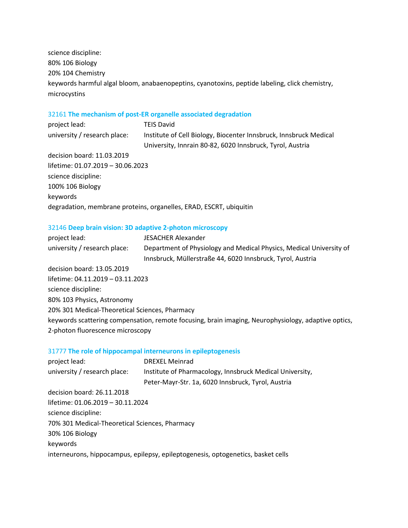science discipline: 80% 106 Biology 20% 104 Chemistry keywords harmful algal bloom, anabaenopeptins, cyanotoxins, peptide labeling, click chemistry, microcystins

## 32161 **The mechanism of post-ER organelle associated degradation**

| project lead:                     | <b>TEIS David</b>                                                  |
|-----------------------------------|--------------------------------------------------------------------|
| university / research place:      | Institute of Cell Biology, Biocenter Innsbruck, Innsbruck Medical  |
|                                   | University, Innrain 80-82, 6020 Innsbruck, Tyrol, Austria          |
| decision board: 11.03.2019        |                                                                    |
| lifetime: 01.07.2019 - 30.06.2023 |                                                                    |
| science discipline:               |                                                                    |
| 100% 106 Biology                  |                                                                    |
| keywords                          |                                                                    |
|                                   | degradation, membrane proteins, organelles, ERAD, ESCRT, ubiquitin |

## 32146 **Deep brain vision: 3D adaptive 2-photon microscopy**

| project lead:                                  | <b>JESACHER Alexander</b>                                                                           |
|------------------------------------------------|-----------------------------------------------------------------------------------------------------|
| university / research place:                   | Department of Physiology and Medical Physics, Medical University of                                 |
|                                                | Innsbruck, Müllerstraße 44, 6020 Innsbruck, Tyrol, Austria                                          |
| decision board: 13.05.2019                     |                                                                                                     |
| lifetime: 04.11.2019 - 03.11.2023              |                                                                                                     |
| science discipline:                            |                                                                                                     |
| 80% 103 Physics, Astronomy                     |                                                                                                     |
| 20% 301 Medical-Theoretical Sciences, Pharmacy |                                                                                                     |
|                                                | keywords scattering compensation, remote focusing, brain imaging, Neurophysiology, adaptive optics, |
| 2-photon fluorescence microscopy               |                                                                                                     |

## 31777 **The role of hippocampal interneurons in epileptogenesis**

| project lead:                                  | <b>DREXEL Meinrad</b>                                                            |
|------------------------------------------------|----------------------------------------------------------------------------------|
| university / research place:                   | Institute of Pharmacology, Innsbruck Medical University,                         |
|                                                | Peter-Mayr-Str. 1a, 6020 Innsbruck, Tyrol, Austria                               |
| decision board: 26.11.2018                     |                                                                                  |
| lifetime: 01.06.2019 - 30.11.2024              |                                                                                  |
| science discipline:                            |                                                                                  |
| 70% 301 Medical-Theoretical Sciences, Pharmacy |                                                                                  |
| 30% 106 Biology                                |                                                                                  |
| keywords                                       |                                                                                  |
|                                                | interneurons, hippocampus, epilepsy, epileptogenesis, optogenetics, basket cells |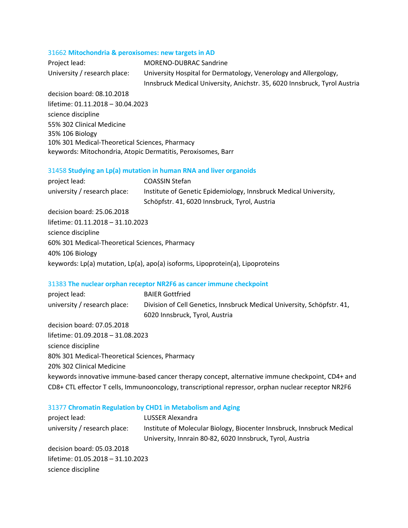#### 31662 **Mitochondria & peroxisomes: new targets in AD**

| Project lead:                | <b>MORENO-DUBRAC Sandrine</b>                                             |
|------------------------------|---------------------------------------------------------------------------|
| University / research place: | University Hospital for Dermatology, Venerology and Allergology,          |
|                              | Innsbruck Medical University, Anichstr. 35, 6020 Innsbruck, Tyrol Austria |

decision board: 08.10.2018 lifetime: 01.11.2018 – 30.04.2023 science discipline 55% 302 Clinical Medicine 35% 106 Biology 10% 301 Medical-Theoretical Sciences, Pharmacy keywords: Mitochondria, Atopic Dermatitis, Peroxisomes, Barr

## 31458 **Studying an Lp(a) mutation in human RNA and liver organoids**

| project lead:                                  | <b>COASSIN Stefan</b>                                                          |
|------------------------------------------------|--------------------------------------------------------------------------------|
| university / research place:                   | Institute of Genetic Epidemiology, Innsbruck Medical University,               |
|                                                | Schöpfstr. 41, 6020 Innsbruck, Tyrol, Austria                                  |
| decision board: 25.06.2018                     |                                                                                |
| lifetime: 01.11.2018 - 31.10.2023              |                                                                                |
| science discipline                             |                                                                                |
| 60% 301 Medical-Theoretical Sciences, Pharmacy |                                                                                |
| 40% 106 Biology                                |                                                                                |
|                                                | keywords: Lp(a) mutation, Lp(a), apo(a) isoforms, Lipoprotein(a), Lipoproteins |

## 31383 **The nuclear orphan receptor NR2F6 as cancer immune checkpoint**

| project lead:                                                                                       | <b>BAIER Gottfried</b>                                                                           |
|-----------------------------------------------------------------------------------------------------|--------------------------------------------------------------------------------------------------|
| university / research place:                                                                        | Division of Cell Genetics, Innsbruck Medical University, Schöpfstr. 41,                          |
|                                                                                                     | 6020 Innsbruck, Tyrol, Austria                                                                   |
| decision board: 07.05.2018                                                                          |                                                                                                  |
| lifetime: 01.09.2018 – 31.08.2023                                                                   |                                                                                                  |
| science discipline                                                                                  |                                                                                                  |
| 80% 301 Medical-Theoretical Sciences, Pharmacy                                                      |                                                                                                  |
| 20% 302 Clinical Medicine                                                                           |                                                                                                  |
|                                                                                                     | keywords innovative immune-based cancer therapy concept, alternative immune checkpoint, CD4+ and |
| CD8+ CTL effector T cells, Immunooncology, transcriptional repressor, orphan nuclear receptor NR2F6 |                                                                                                  |
|                                                                                                     |                                                                                                  |

## 31377 **Chromatin Regulation by CHD1 in Metabolism and Aging**

| project lead:                     | LUSSER Alexandra                                                       |
|-----------------------------------|------------------------------------------------------------------------|
| university / research place:      | Institute of Molecular Biology, Biocenter Innsbruck, Innsbruck Medical |
|                                   | University, Innrain 80-82, 6020 Innsbruck, Tyrol, Austria              |
| decision board: 05.03.2018        |                                                                        |
| lifetime: 01.05.2018 - 31.10.2023 |                                                                        |
| science discipline                |                                                                        |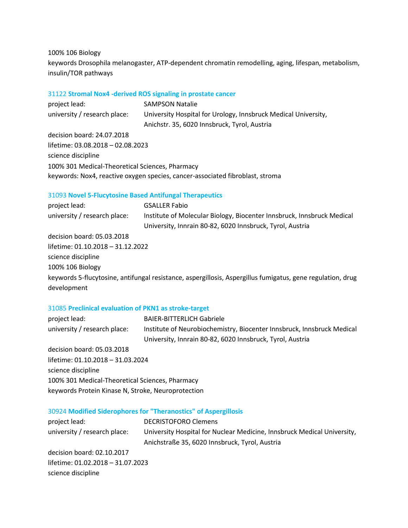100% 106 Biology

keywords Drosophila melanogaster, ATP-dependent chromatin remodelling, aging, lifespan, metabolism, insulin/TOR pathways

## 31122 **Stromal Nox4 -derived ROS signaling in prostate cancer**

project lead: SAMPSON Natalie university / research place: University Hospital for Urology, Innsbruck Medical University, Anichstr. 35, 6020 Innsbruck, Tyrol, Austria decision board: 24.07.2018 lifetime: 03.08.2018 – 02.08.2023 science discipline 100% 301 Medical-Theoretical Sciences, Pharmacy keywords: Nox4, reactive oxygen species, cancer-associated fibroblast, stroma

## 31093 **Novel 5-Flucytosine Based Antifungal Therapeutics**

project lead: GSALLER Fabio university / research place: Institute of Molecular Biology, Biocenter Innsbruck, Innsbruck Medical University, Innrain 80-82, 6020 Innsbruck, Tyrol, Austria decision board: 05.03.2018 lifetime: 01.10.2018 – 31.12.2022

science discipline

100% 106 Biology

keywords 5-flucytosine, antifungal resistance, aspergillosis, Aspergillus fumigatus, gene regulation, drug development

## 31085 **Preclinical evaluation of PKN1 as stroke-target**

| project lead:                | <b>BAIER-BITTERLICH Gabriele</b>                                       |
|------------------------------|------------------------------------------------------------------------|
| university / research place: | Institute of Neurobiochemistry, Biocenter Innsbruck, Innsbruck Medical |
|                              | University, Innrain 80-82, 6020 Innsbruck, Tyrol, Austria              |
| decision board: 05.03.2018   |                                                                        |

lifetime: 01.10.2018 – 31.03.2024 science discipline 100% 301 Medical-Theoretical Sciences, Pharmacy keywords Protein Kinase N, Stroke, Neuroprotection

## 30924 **Modified Siderophores for "Theranostics" of Aspergillosis**

| <b>DECRISTOFORO Clemens</b>                                             |
|-------------------------------------------------------------------------|
| University Hospital for Nuclear Medicine, Innsbruck Medical University, |
| Anichstraße 35, 6020 Innsbruck, Tyrol, Austria                          |
|                                                                         |
| lifetime: 01.02.2018 - 31.07.2023                                       |
|                                                                         |
|                                                                         |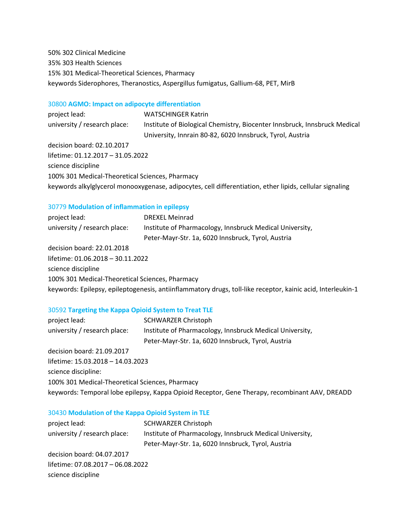50% 302 Clinical Medicine 35% 303 Health Sciences 15% 301 Medical-Theoretical Sciences, Pharmacy keywords Siderophores, Theranostics, Aspergillus fumigatus, Gallium-68, PET, MirB

## 30800 **AGMO: Impact on adipocyte differentiation**

project lead: WATSCHINGER Katrin university / research place: Institute of Biological Chemistry, Biocenter Innsbruck, Innsbruck Medical University, Innrain 80-82, 6020 Innsbruck, Tyrol, Austria decision board: 02.10.2017 lifetime: 01.12.2017 – 31.05.2022 science discipline 100% 301 Medical-Theoretical Sciences, Pharmacy keywords alkylglycerol monooxygenase, adipocytes, cell differentiation, ether lipids, cellular signaling

## 30779 **Modulation of inflammation in epilepsy**

| project lead:                                   | <b>DREXEL Meinrad</b>                                                                                       |
|-------------------------------------------------|-------------------------------------------------------------------------------------------------------------|
| university / research place:                    | Institute of Pharmacology, Innsbruck Medical University,                                                    |
|                                                 | Peter-Mayr-Str. 1a, 6020 Innsbruck, Tyrol, Austria                                                          |
| decision board: 22.01.2018                      |                                                                                                             |
| lifetime: 01.06.2018 - 30.11.2022               |                                                                                                             |
| science discipline                              |                                                                                                             |
| 100% 301 Medical-Theoretical Sciences, Pharmacy |                                                                                                             |
|                                                 | keywords: Epilepsy, epileptogenesis, antiinflammatory drugs, toll-like receptor, kainic acid, Interleukin-1 |

## 30592 **Targeting the Kappa Opioid System to Treat TLE**

| project lead:                                                                                  | <b>SCHWARZER Christoph</b>                               |
|------------------------------------------------------------------------------------------------|----------------------------------------------------------|
| university / research place:                                                                   | Institute of Pharmacology, Innsbruck Medical University, |
|                                                                                                | Peter-Mayr-Str. 1a, 6020 Innsbruck, Tyrol, Austria       |
| decision board: 21.09.2017                                                                     |                                                          |
| lifetime: 15.03.2018 - 14.03.2023                                                              |                                                          |
| science discipline:                                                                            |                                                          |
| 100% 301 Medical-Theoretical Sciences, Pharmacy                                                |                                                          |
| keywords: Temporal lobe epilepsy, Kappa Opioid Receptor, Gene Therapy, recombinant AAV, DREADD |                                                          |

## 30430 **Modulation of the Kappa Opioid System in TLE**

| project lead:                     | <b>SCHWARZER Christoph</b>                               |
|-----------------------------------|----------------------------------------------------------|
| university / research place:      | Institute of Pharmacology, Innsbruck Medical University, |
|                                   | Peter-Mayr-Str. 1a, 6020 Innsbruck, Tyrol, Austria       |
| decision board: 04.07.2017        |                                                          |
| lifetime: 07.08.2017 - 06.08.2022 |                                                          |
| science discipline                |                                                          |
|                                   |                                                          |